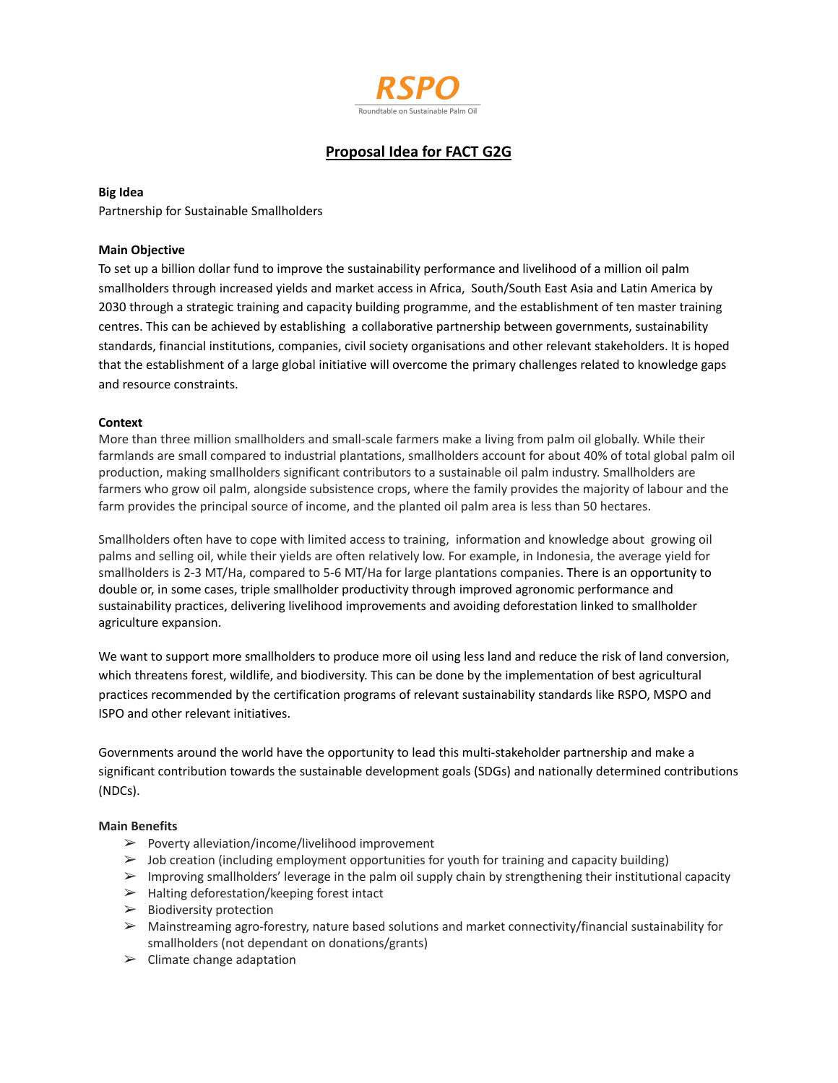

# **Proposal Idea for FACT G2G**

# **Big Idea**

Partnership for Sustainable Smallholders

# **Main Objective**

To set up a billion dollar fund to improve the sustainability performance and livelihood of a million oil palm smallholders through increased yields and market access in Africa, South/South East Asia and Latin America by 2030 through a strategic training and capacity building programme, and the establishment of ten master training centres. This can be achieved by establishing a collaborative partnership between governments, sustainability standards, financial institutions, companies, civil society organisations and other relevant stakeholders. It is hoped that the establishment of a large global initiative will overcome the primary challenges related to knowledge gaps and resource constraints.

# **Context**

More than three million smallholders and small-scale farmers make a living from palm oil globally. While their farmlands are small compared to industrial plantations, smallholders account for about 40% of total global palm oil production, making smallholders significant contributors to a sustainable oil palm industry. Smallholders are farmers who grow oil palm, alongside subsistence crops, where the family provides the majority of labour and the farm provides the principal source of income, and the planted oil palm area is less than 50 hectares.

Smallholders often have to cope with limited access to training, information and knowledge about growing oil palms and selling oil, while their yields are often relatively low. For example, in Indonesia, the average yield for smallholders is 2-3 MT/Ha, compared to 5-6 MT/Ha for large plantations companies. There is an opportunity to double or, in some cases, triple smallholder productivity through improved agronomic performance and sustainability practices, delivering livelihood improvements and avoiding deforestation linked to smallholder agriculture expansion.

We want to support more smallholders to produce more oil using less land and reduce the risk of land conversion, which threatens forest, wildlife, and biodiversity. This can be done by the implementation of best agricultural practices recommended by the certification programs of relevant sustainability standards like RSPO, MSPO and ISPO and other relevant initiatives.

Governments around the world have the opportunity to lead this multi-stakeholder partnership and make a significant contribution towards the sustainable development goals (SDGs) and nationally determined contributions (NDCs).

### **Main Benefits**

- $\triangleright$  Poverty alleviation/income/livelihood improvement
- $\triangleright$  Job creation (including employment opportunities for youth for training and capacity building)
- $\triangleright$  Improving smallholders' leverage in the palm oil supply chain by strengthening their institutional capacity
- $\triangleright$  Halting deforestation/keeping forest intact
- $\triangleright$  Biodiversity protection
- $\triangleright$  Mainstreaming agro-forestry, nature based solutions and market connectivity/financial sustainability for smallholders (not dependant on donations/grants)
- $\triangleright$  Climate change adaptation